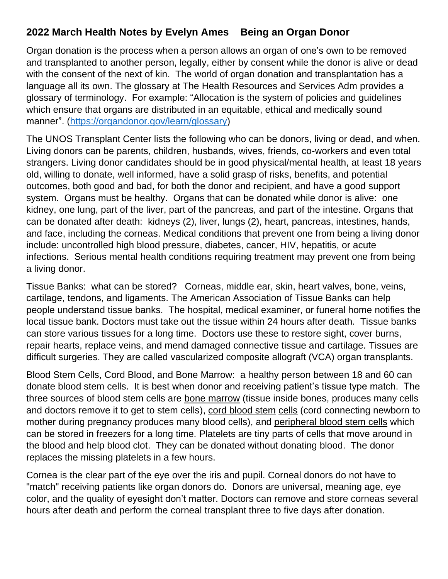## **2022 March Health Notes by Evelyn Ames Being an Organ Donor**

Organ donation is the process when a person allows an organ of one's own to be removed and transplanted to another person, legally, either by consent while the donor is alive or dead with the consent of the next of kin. The world of organ donation and transplantation has a language all its own. The glossary at The Health Resources and Services Adm provides a glossary of terminology. For example: "Allocation is the system of policies and guidelines which ensure that organs are distributed in an equitable, ethical and medically sound manner". [\(https://organdonor.gov/learn/glossary\)](https://organdonor.gov/learn/glossary)

The UNOS Transplant Center lists the following who can be donors, living or dead, and when. Living donors can be parents, children, husbands, wives, friends, co-workers and even total strangers. Living donor candidates should be in good physical/mental health, at least 18 years old, willing to donate, well informed, have a solid grasp of risks, benefits, and potential outcomes, both good and bad, for both the donor and recipient, and have a good support system. Organs must be healthy. Organs that can be donated while donor is alive: one kidney, one lung, part of the liver, part of the pancreas, and part of the intestine. Organs that can be donated after death: kidneys (2), liver, lungs (2), heart, pancreas, intestines, hands, and face, including the corneas. Medical conditions that prevent one from being a living donor include: uncontrolled high blood pressure, diabetes, cancer, HIV, hepatitis, or acute infections. Serious mental health conditions requiring treatment may prevent one from being a living donor.

Tissue Banks: what can be stored? Corneas, middle ear, skin, heart valves, bone, veins, cartilage, tendons, and ligaments. The American Association of Tissue Banks can help people understand tissue banks. The hospital, medical examiner, or funeral home notifies the local tissue bank. Doctors must take out the tissue within 24 hours after death. Tissue banks can store various tissues for a long time. Doctors use these to restore sight, cover burns, repair hearts, replace veins, and mend damaged connective tissue and cartilage. Tissues are difficult surgeries. They are called vascularized composite allograft (VCA) organ transplants.

Blood Stem Cells, Cord Blood, and Bone Marrow: a healthy person between 18 and 60 can donate blood stem cells. It is best when donor and receiving patient's tissue type match. The three sources of blood stem cells are bone marrow (tissue inside bones, produces many cells and doctors remove it to get to stem cells), cord blood stem cells (cord connecting newborn to mother during pregnancy produces many blood cells), and peripheral blood stem cells which can be stored in freezers for a long time. Platelets are tiny parts of cells that move around in the blood and help blood clot. They can be donated without donating blood. The donor replaces the missing platelets in a few hours.

Cornea is the clear part of the eye over the iris and pupil. Corneal donors do not have to "match" receiving patients like organ donors do. Donors are universal, meaning age, eye color, and the quality of eyesight don't matter. Doctors can remove and store corneas several hours after death and perform the corneal transplant three to five days after donation.